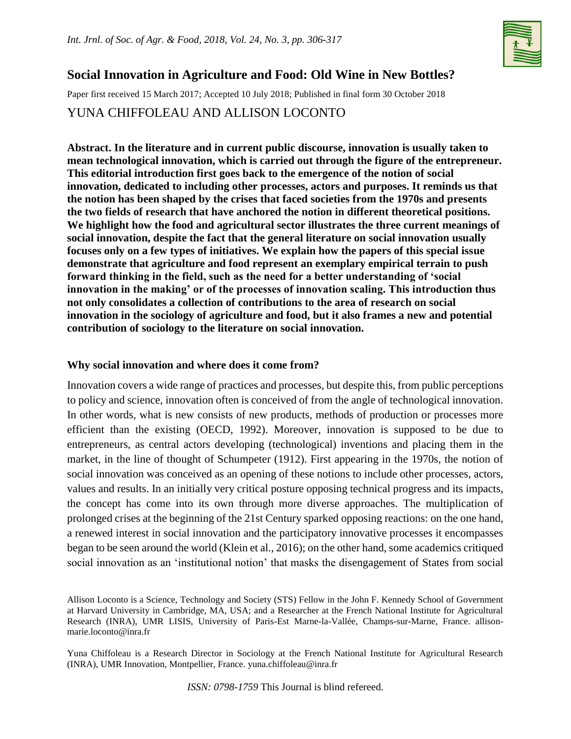

# **Social Innovation in Agriculture and Food: Old Wine in New Bottles?**

Paper first received 15 March 2017; Accepted 10 July 2018; Published in final form 30 October 2018

## YUNA CHIFFOLEAU AND ALLISON LOCONTO

**Abstract. In the literature and in current public discourse, innovation is usually taken to mean technological innovation, which is carried out through the figure of the entrepreneur. This editorial introduction first goes back to the emergence of the notion of social innovation, dedicated to including other processes, actors and purposes. It reminds us that the notion has been shaped by the crises that faced societies from the 1970s and presents the two fields of research that have anchored the notion in different theoretical positions. We highlight how the food and agricultural sector illustrates the three current meanings of social innovation, despite the fact that the general literature on social innovation usually focuses only on a few types of initiatives. We explain how the papers of this special issue demonstrate that agriculture and food represent an exemplary empirical terrain to push forward thinking in the field, such as the need for a better understanding of 'social innovation in the making' or of the processes of innovation scaling. This introduction thus not only consolidates a collection of contributions to the area of research on social innovation in the sociology of agriculture and food, but it also frames a new and potential contribution of sociology to the literature on social innovation.**

## **Why social innovation and where does it come from?**

Innovation covers a wide range of practices and processes, but despite this, from public perceptions to policy and science, innovation often is conceived of from the angle of technological innovation. In other words, what is new consists of new products, methods of production or processes more efficient than the existing (OECD, 1992). Moreover, innovation is supposed to be due to entrepreneurs, as central actors developing (technological) inventions and placing them in the market, in the line of thought of Schumpeter (1912). First appearing in the 1970s, the notion of social innovation was conceived as an opening of these notions to include other processes, actors, values and results. In an initially very critical posture opposing technical progress and its impacts, the concept has come into its own through more diverse approaches. The multiplication of prolonged crises at the beginning of the 21st Century sparked opposing reactions: on the one hand, a renewed interest in social innovation and the participatory innovative processes it encompasses began to be seen around the world (Klein et al., 2016); on the other hand, some academics critiqued social innovation as an 'institutional notion' that masks the disengagement of States from social

Allison Loconto is a Science, Technology and Society (STS) Fellow in the John F. Kennedy School of Government at Harvard University in Cambridge, MA, USA; and a Researcher at the French National Institute for Agricultural Research (INRA), UMR LISIS, University of Paris-Est Marne-la-Vallée, Champs-sur-Marne, France. allisonmarie.loconto@inra.fr

Yuna Chiffoleau is a Research Director in Sociology at the French National Institute for Agricultural Research (INRA), UMR Innovation, Montpellier, France. yuna.chiffoleau@inra.fr

*ISSN: 0798-1759* This Journal is blind refereed.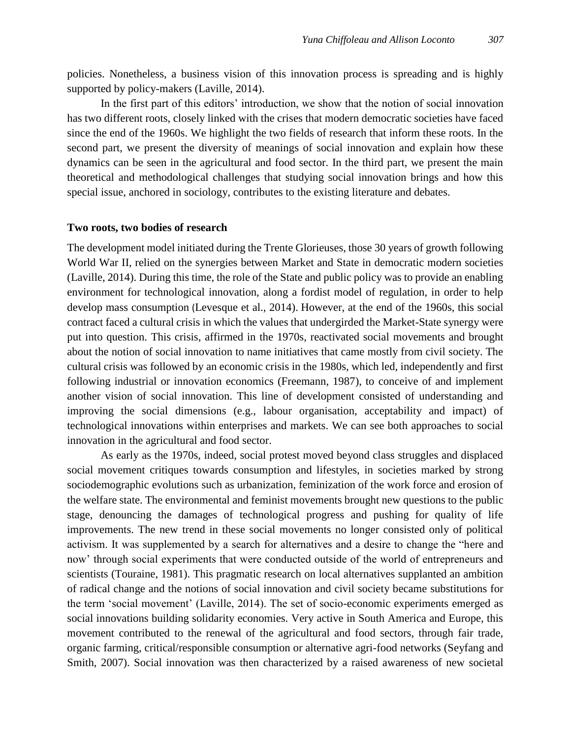policies. Nonetheless, a business vision of this innovation process is spreading and is highly supported by policy-makers (Laville, 2014).

In the first part of this editors' introduction, we show that the notion of social innovation has two different roots, closely linked with the crises that modern democratic societies have faced since the end of the 1960s. We highlight the two fields of research that inform these roots. In the second part, we present the diversity of meanings of social innovation and explain how these dynamics can be seen in the agricultural and food sector. In the third part, we present the main theoretical and methodological challenges that studying social innovation brings and how this special issue, anchored in sociology, contributes to the existing literature and debates.

#### **Two roots, two bodies of research**

The development model initiated during the Trente Glorieuses, those 30 years of growth following World War II, relied on the synergies between Market and State in democratic modern societies (Laville, 2014). During this time, the role of the State and public policy was to provide an enabling environment for technological innovation, along a fordist model of regulation, in order to help develop mass consumption (Levesque et al., 2014). However, at the end of the 1960s, this social contract faced a cultural crisis in which the values that undergirded the Market-State synergy were put into question. This crisis, affirmed in the 1970s, reactivated social movements and brought about the notion of social innovation to name initiatives that came mostly from civil society. The cultural crisis was followed by an economic crisis in the 1980s, which led, independently and first following industrial or innovation economics (Freemann, 1987), to conceive of and implement another vision of social innovation. This line of development consisted of understanding and improving the social dimensions (e.g., labour organisation, acceptability and impact) of technological innovations within enterprises and markets. We can see both approaches to social innovation in the agricultural and food sector.

As early as the 1970s, indeed, social protest moved beyond class struggles and displaced social movement critiques towards consumption and lifestyles, in societies marked by strong sociodemographic evolutions such as urbanization, feminization of the work force and erosion of the welfare state. The environmental and feminist movements brought new questions to the public stage, denouncing the damages of technological progress and pushing for quality of life improvements. The new trend in these social movements no longer consisted only of political activism. It was supplemented by a search for alternatives and a desire to change the "here and now' through social experiments that were conducted outside of the world of entrepreneurs and scientists (Touraine, 1981). This pragmatic research on local alternatives supplanted an ambition of radical change and the notions of social innovation and civil society became substitutions for the term 'social movement' (Laville, 2014). The set of socio-economic experiments emerged as social innovations building solidarity economies. Very active in South America and Europe, this movement contributed to the renewal of the agricultural and food sectors, through fair trade, organic farming, critical/responsible consumption or alternative agri-food networks (Seyfang and Smith, 2007). Social innovation was then characterized by a raised awareness of new societal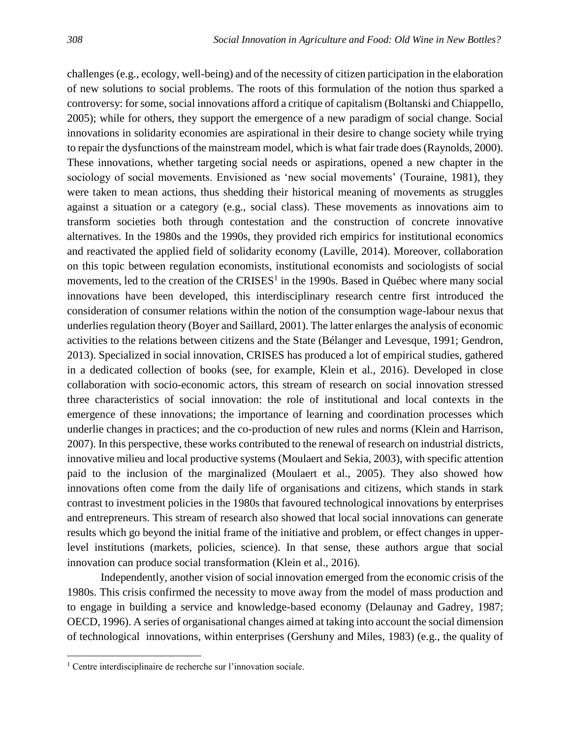challenges (e.g., ecology, well-being) and of the necessity of citizen participation in the elaboration of new solutions to social problems. The roots of this formulation of the notion thus sparked a controversy: for some, social innovations afford a critique of capitalism (Boltanski and Chiappello, 2005); while for others, they support the emergence of a new paradigm of social change. Social innovations in solidarity economies are aspirational in their desire to change society while trying to repair the dysfunctions of the mainstream model, which is what fair trade does (Raynolds, 2000). These innovations, whether targeting social needs or aspirations, opened a new chapter in the sociology of social movements. Envisioned as 'new social movements' (Touraine, 1981), they were taken to mean actions, thus shedding their historical meaning of movements as struggles against a situation or a category (e.g., social class). These movements as innovations aim to transform societies both through contestation and the construction of concrete innovative alternatives. In the 1980s and the 1990s, they provided rich empirics for institutional economics and reactivated the applied field of solidarity economy (Laville, 2014). Moreover, collaboration on this topic between regulation economists, institutional economists and sociologists of social movements, led to the creation of the CRISES<sup>1</sup> in the 1990s. Based in Québec where many social innovations have been developed, this interdisciplinary research centre first introduced the consideration of consumer relations within the notion of the consumption wage-labour nexus that underlies regulation theory (Boyer and Saillard, 2001). The latter enlarges the analysis of economic activities to the relations between citizens and the State (Bélanger and Levesque, 1991; Gendron, 2013). Specialized in social innovation, CRISES has produced a lot of empirical studies, gathered in a dedicated collection of books (see, for example, Klein et al., 2016). Developed in close collaboration with socio-economic actors, this stream of research on social innovation stressed three characteristics of social innovation: the role of institutional and local contexts in the emergence of these innovations; the importance of learning and coordination processes which underlie changes in practices; and the co-production of new rules and norms (Klein and Harrison, 2007). In this perspective, these works contributed to the renewal of research on industrial districts, innovative milieu and local productive systems (Moulaert and Sekia, 2003), with specific attention paid to the inclusion of the marginalized (Moulaert et al., 2005). They also showed how innovations often come from the daily life of organisations and citizens, which stands in stark contrast to investment policies in the 1980s that favoured technological innovations by enterprises and entrepreneurs. This stream of research also showed that local social innovations can generate results which go beyond the initial frame of the initiative and problem, or effect changes in upperlevel institutions (markets, policies, science). In that sense, these authors argue that social innovation can produce social transformation (Klein et al., 2016).

Independently, another vision of social innovation emerged from the economic crisis of the 1980s. This crisis confirmed the necessity to move away from the model of mass production and to engage in building a service and knowledge-based economy (Delaunay and Gadrey, 1987; OECD, 1996). A series of organisational changes aimed at taking into account the social dimension of technological innovations, within enterprises (Gershuny and Miles, 1983) (e.g., the quality of

 $\overline{\phantom{a}}$ 

<sup>1</sup> Centre interdisciplinaire de recherche sur l'innovation sociale.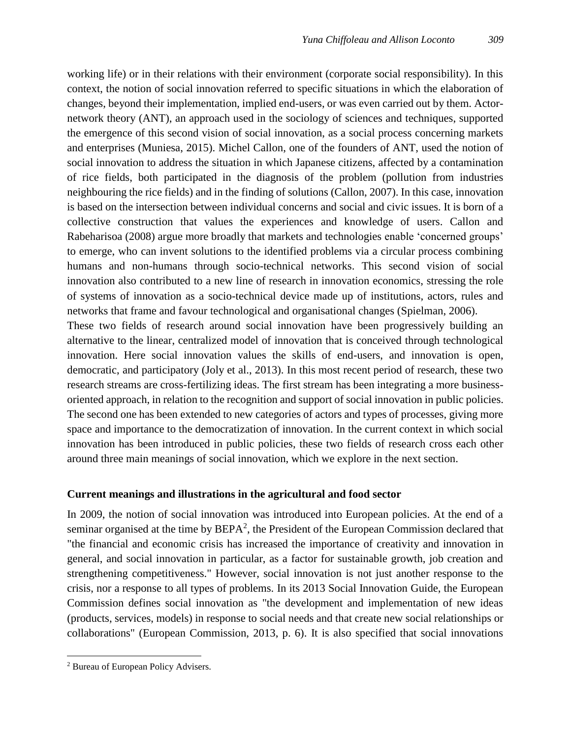working life) or in their relations with their environment (corporate social responsibility). In this context, the notion of social innovation referred to specific situations in which the elaboration of changes, beyond their implementation, implied end-users, or was even carried out by them. Actornetwork theory (ANT), an approach used in the sociology of sciences and techniques, supported the emergence of this second vision of social innovation, as a social process concerning markets and enterprises (Muniesa, 2015). Michel Callon, one of the founders of ANT, used the notion of social innovation to address the situation in which Japanese citizens, affected by a contamination of rice fields, both participated in the diagnosis of the problem (pollution from industries neighbouring the rice fields) and in the finding of solutions (Callon, 2007). In this case, innovation is based on the intersection between individual concerns and social and civic issues. It is born of a collective construction that values the experiences and knowledge of users. Callon and Rabeharisoa (2008) argue more broadly that markets and technologies enable 'concerned groups' to emerge, who can invent solutions to the identified problems via a circular process combining humans and non-humans through socio-technical networks. This second vision of social innovation also contributed to a new line of research in innovation economics, stressing the role of systems of innovation as a socio-technical device made up of institutions, actors, rules and networks that frame and favour technological and organisational changes (Spielman, 2006). These two fields of research around social innovation have been progressively building an

alternative to the linear, centralized model of innovation that is conceived through technological innovation. Here social innovation values the skills of end-users, and innovation is open, democratic, and participatory (Joly et al., 2013). In this most recent period of research, these two research streams are cross-fertilizing ideas. The first stream has been integrating a more businessoriented approach, in relation to the recognition and support of social innovation in public policies. The second one has been extended to new categories of actors and types of processes, giving more space and importance to the democratization of innovation. In the current context in which social innovation has been introduced in public policies, these two fields of research cross each other around three main meanings of social innovation, which we explore in the next section.

#### **Current meanings and illustrations in the agricultural and food sector**

In 2009, the notion of social innovation was introduced into European policies. At the end of a seminar organised at the time by  $BEPA<sup>2</sup>$ , the President of the European Commission declared that "the financial and economic crisis has increased the importance of creativity and innovation in general, and social innovation in particular, as a factor for sustainable growth, job creation and strengthening competitiveness." However, social innovation is not just another response to the crisis, nor a response to all types of problems. In its 2013 Social Innovation Guide, the European Commission defines social innovation as "the development and implementation of new ideas (products, services, models) in response to social needs and that create new social relationships or collaborations" (European Commission, 2013, p. 6). It is also specified that social innovations

 $\overline{\phantom{a}}$ 

<sup>2</sup> Bureau of European Policy Advisers.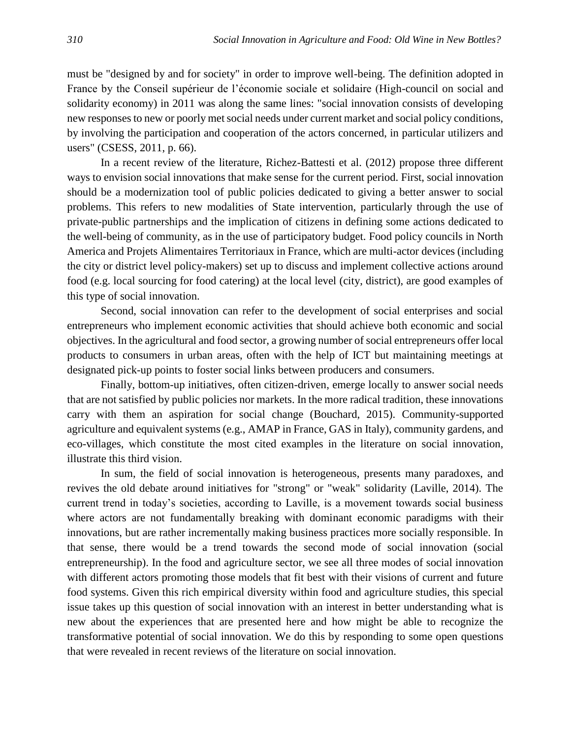must be "designed by and for society" in order to improve well-being. The definition adopted in France by the Conseil supérieur de l'économie sociale et solidaire (High-council on social and solidarity economy) in 2011 was along the same lines: "social innovation consists of developing new responses to new or poorly met social needs under current market and social policy conditions, by involving the participation and cooperation of the actors concerned, in particular utilizers and users" (CSESS, 2011, p. 66).

In a recent review of the literature, Richez-Battesti et al. (2012) propose three different ways to envision social innovations that make sense for the current period. First, social innovation should be a modernization tool of public policies dedicated to giving a better answer to social problems. This refers to new modalities of State intervention, particularly through the use of private-public partnerships and the implication of citizens in defining some actions dedicated to the well-being of community, as in the use of participatory budget. Food policy councils in North America and Projets Alimentaires Territoriaux in France, which are multi-actor devices (including the city or district level policy-makers) set up to discuss and implement collective actions around food (e.g. local sourcing for food catering) at the local level (city, district), are good examples of this type of social innovation.

Second, social innovation can refer to the development of social enterprises and social entrepreneurs who implement economic activities that should achieve both economic and social objectives. In the agricultural and food sector, a growing number of social entrepreneurs offer local products to consumers in urban areas, often with the help of ICT but maintaining meetings at designated pick-up points to foster social links between producers and consumers.

Finally, bottom-up initiatives, often citizen-driven, emerge locally to answer social needs that are not satisfied by public policies nor markets. In the more radical tradition, these innovations carry with them an aspiration for social change (Bouchard, 2015). Community-supported agriculture and equivalent systems (e.g., AMAP in France, GAS in Italy), community gardens, and eco-villages, which constitute the most cited examples in the literature on social innovation, illustrate this third vision.

In sum, the field of social innovation is heterogeneous, presents many paradoxes, and revives the old debate around initiatives for "strong" or "weak" solidarity (Laville, 2014). The current trend in today's societies, according to Laville, is a movement towards social business where actors are not fundamentally breaking with dominant economic paradigms with their innovations, but are rather incrementally making business practices more socially responsible. In that sense, there would be a trend towards the second mode of social innovation (social entrepreneurship). In the food and agriculture sector, we see all three modes of social innovation with different actors promoting those models that fit best with their visions of current and future food systems. Given this rich empirical diversity within food and agriculture studies, this special issue takes up this question of social innovation with an interest in better understanding what is new about the experiences that are presented here and how might be able to recognize the transformative potential of social innovation. We do this by responding to some open questions that were revealed in recent reviews of the literature on social innovation.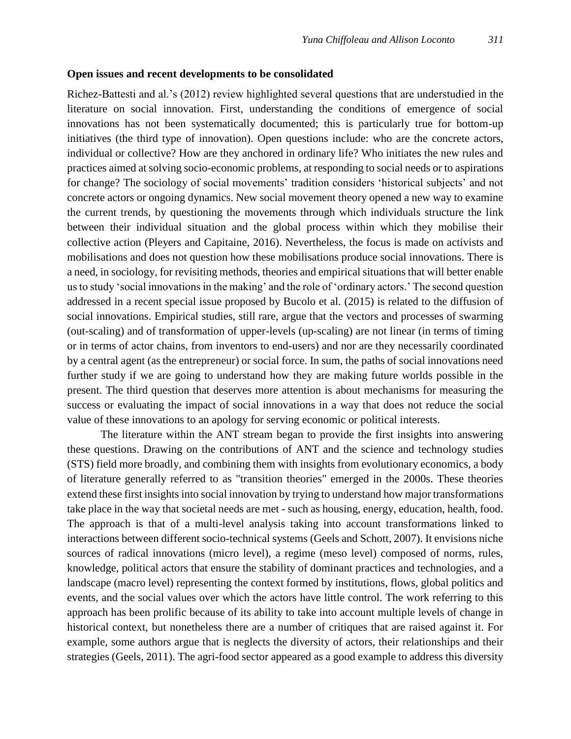### **Open issues and recent developments to be consolidated**

Richez-Battesti and al.'s (2012) review highlighted several questions that are understudied in the literature on social innovation. First, understanding the conditions of emergence of social innovations has not been systematically documented; this is particularly true for bottom-up initiatives (the third type of innovation). Open questions include: who are the concrete actors, individual or collective? How are they anchored in ordinary life? Who initiates the new rules and practices aimed at solving socio-economic problems, at responding to social needs or to aspirations for change? The sociology of social movements' tradition considers 'historical subjects' and not concrete actors or ongoing dynamics. New social movement theory opened a new way to examine the current trends, by questioning the movements through which individuals structure the link between their individual situation and the global process within which they mobilise their collective action (Pleyers and Capitaine, 2016). Nevertheless, the focus is made on activists and mobilisations and does not question how these mobilisations produce social innovations. There is a need, in sociology, for revisiting methods, theories and empirical situations that will better enable us to study 'social innovations in the making' and the role of 'ordinary actors.' The second question addressed in a recent special issue proposed by Bucolo et al. (2015) is related to the diffusion of social innovations. Empirical studies, still rare, argue that the vectors and processes of swarming (out-scaling) and of transformation of upper-levels (up-scaling) are not linear (in terms of timing or in terms of actor chains, from inventors to end-users) and nor are they necessarily coordinated by a central agent (as the entrepreneur) or social force. In sum, the paths of social innovations need further study if we are going to understand how they are making future worlds possible in the present. The third question that deserves more attention is about mechanisms for measuring the success or evaluating the impact of social innovations in a way that does not reduce the social value of these innovations to an apology for serving economic or political interests.

The literature within the ANT stream began to provide the first insights into answering these questions. Drawing on the contributions of ANT and the science and technology studies (STS) field more broadly, and combining them with insights from evolutionary economics, a body of literature generally referred to as "transition theories" emerged in the 2000s. These theories extend these first insights into social innovation by trying to understand how major transformations take place in the way that societal needs are met - such as housing, energy, education, health, food. The approach is that of a multi-level analysis taking into account transformations linked to interactions between different socio-technical systems (Geels and Schott, 2007). It envisions niche sources of radical innovations (micro level), a regime (meso level) composed of norms, rules, knowledge, political actors that ensure the stability of dominant practices and technologies, and a landscape (macro level) representing the context formed by institutions, flows, global politics and events, and the social values over which the actors have little control. The work referring to this approach has been prolific because of its ability to take into account multiple levels of change in historical context, but nonetheless there are a number of critiques that are raised against it. For example, some authors argue that is neglects the diversity of actors, their relationships and their strategies (Geels, 2011). The agri-food sector appeared as a good example to address this diversity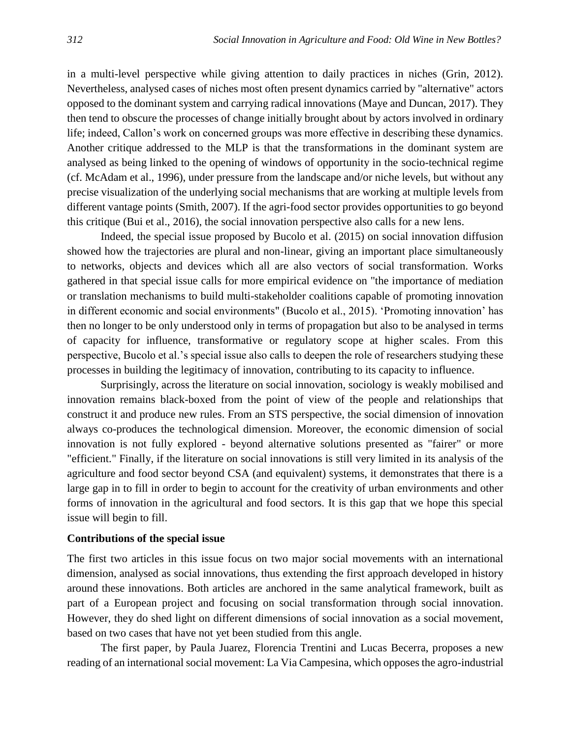in a multi-level perspective while giving attention to daily practices in niches (Grin, 2012). Nevertheless, analysed cases of niches most often present dynamics carried by "alternative" actors opposed to the dominant system and carrying radical innovations (Maye and Duncan, 2017). They then tend to obscure the processes of change initially brought about by actors involved in ordinary life; indeed, Callon's work on concerned groups was more effective in describing these dynamics. Another critique addressed to the MLP is that the transformations in the dominant system are analysed as being linked to the opening of windows of opportunity in the socio-technical regime (cf. McAdam et al., 1996), under pressure from the landscape and/or niche levels, but without any precise visualization of the underlying social mechanisms that are working at multiple levels from different vantage points (Smith, 2007). If the agri-food sector provides opportunities to go beyond this critique (Bui et al., 2016), the social innovation perspective also calls for a new lens.

Indeed, the special issue proposed by Bucolo et al. (2015) on social innovation diffusion showed how the trajectories are plural and non-linear, giving an important place simultaneously to networks, objects and devices which all are also vectors of social transformation. Works gathered in that special issue calls for more empirical evidence on "the importance of mediation or translation mechanisms to build multi-stakeholder coalitions capable of promoting innovation in different economic and social environments" (Bucolo et al., 2015). 'Promoting innovation' has then no longer to be only understood only in terms of propagation but also to be analysed in terms of capacity for influence, transformative or regulatory scope at higher scales. From this perspective, Bucolo et al.'s special issue also calls to deepen the role of researchers studying these processes in building the legitimacy of innovation, contributing to its capacity to influence.

Surprisingly, across the literature on social innovation, sociology is weakly mobilised and innovation remains black-boxed from the point of view of the people and relationships that construct it and produce new rules. From an STS perspective, the social dimension of innovation always co-produces the technological dimension. Moreover, the economic dimension of social innovation is not fully explored - beyond alternative solutions presented as "fairer" or more "efficient." Finally, if the literature on social innovations is still very limited in its analysis of the agriculture and food sector beyond CSA (and equivalent) systems, it demonstrates that there is a large gap in to fill in order to begin to account for the creativity of urban environments and other forms of innovation in the agricultural and food sectors. It is this gap that we hope this special issue will begin to fill.

### **Contributions of the special issue**

The first two articles in this issue focus on two major social movements with an international dimension, analysed as social innovations, thus extending the first approach developed in history around these innovations. Both articles are anchored in the same analytical framework, built as part of a European project and focusing on social transformation through social innovation. However, they do shed light on different dimensions of social innovation as a social movement, based on two cases that have not yet been studied from this angle.

The first paper, by Paula Juarez, Florencia Trentini and Lucas Becerra, proposes a new reading of an international social movement: La Via Campesina, which opposes the agro-industrial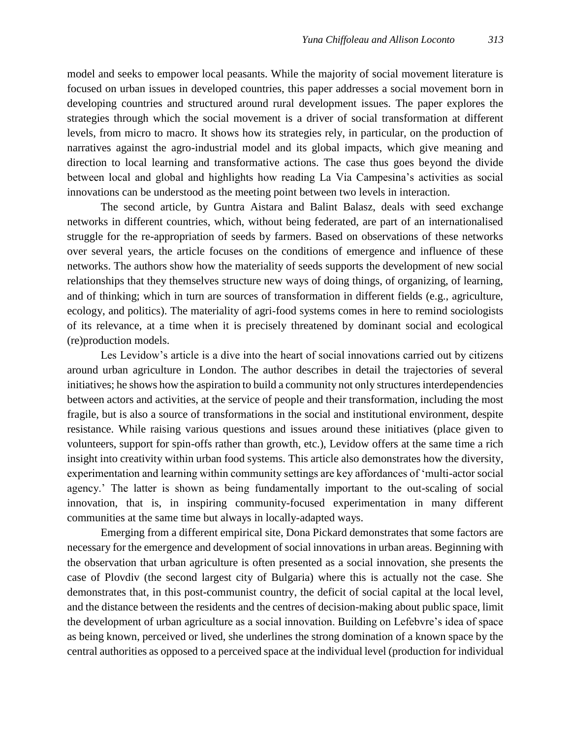model and seeks to empower local peasants. While the majority of social movement literature is focused on urban issues in developed countries, this paper addresses a social movement born in developing countries and structured around rural development issues. The paper explores the strategies through which the social movement is a driver of social transformation at different levels, from micro to macro. It shows how its strategies rely, in particular, on the production of narratives against the agro-industrial model and its global impacts, which give meaning and direction to local learning and transformative actions. The case thus goes beyond the divide between local and global and highlights how reading La Via Campesina's activities as social innovations can be understood as the meeting point between two levels in interaction.

The second article, by Guntra Aistara and Balint Balasz, deals with seed exchange networks in different countries, which, without being federated, are part of an internationalised struggle for the re-appropriation of seeds by farmers. Based on observations of these networks over several years, the article focuses on the conditions of emergence and influence of these networks. The authors show how the materiality of seeds supports the development of new social relationships that they themselves structure new ways of doing things, of organizing, of learning, and of thinking; which in turn are sources of transformation in different fields (e.g., agriculture, ecology, and politics). The materiality of agri-food systems comes in here to remind sociologists of its relevance, at a time when it is precisely threatened by dominant social and ecological (re)production models.

Les Levidow's article is a dive into the heart of social innovations carried out by citizens around urban agriculture in London. The author describes in detail the trajectories of several initiatives; he shows how the aspiration to build a community not only structures interdependencies between actors and activities, at the service of people and their transformation, including the most fragile, but is also a source of transformations in the social and institutional environment, despite resistance. While raising various questions and issues around these initiatives (place given to volunteers, support for spin-offs rather than growth, etc.), Levidow offers at the same time a rich insight into creativity within urban food systems. This article also demonstrates how the diversity, experimentation and learning within community settings are key affordances of 'multi-actor social agency.' The latter is shown as being fundamentally important to the out-scaling of social innovation, that is, in inspiring community-focused experimentation in many different communities at the same time but always in locally-adapted ways.

Emerging from a different empirical site, Dona Pickard demonstrates that some factors are necessary for the emergence and development of social innovations in urban areas. Beginning with the observation that urban agriculture is often presented as a social innovation, she presents the case of Plovdiv (the second largest city of Bulgaria) where this is actually not the case. She demonstrates that, in this post-communist country, the deficit of social capital at the local level, and the distance between the residents and the centres of decision-making about public space, limit the development of urban agriculture as a social innovation. Building on Lefebvre's idea of space as being known, perceived or lived, she underlines the strong domination of a known space by the central authorities as opposed to a perceived space at the individual level (production for individual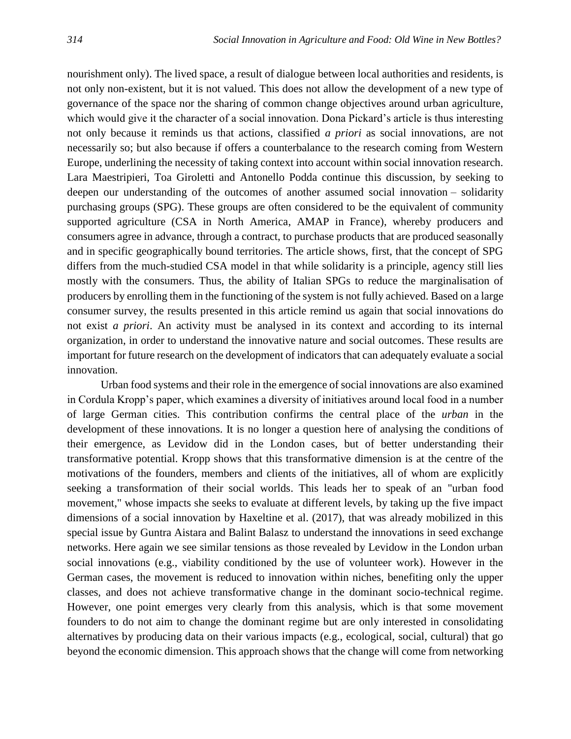nourishment only). The lived space, a result of dialogue between local authorities and residents, is not only non-existent, but it is not valued. This does not allow the development of a new type of governance of the space nor the sharing of common change objectives around urban agriculture, which would give it the character of a social innovation. Dona Pickard's article is thus interesting not only because it reminds us that actions, classified *a priori* as social innovations, are not necessarily so; but also because if offers a counterbalance to the research coming from Western Europe, underlining the necessity of taking context into account within social innovation research. Lara Maestripieri, Toa Giroletti and Antonello Podda continue this discussion, by seeking to deepen our understanding of the outcomes of another assumed social innovation – solidarity purchasing groups (SPG). These groups are often considered to be the equivalent of community supported agriculture (CSA in North America, AMAP in France), whereby producers and consumers agree in advance, through a contract, to purchase products that are produced seasonally and in specific geographically bound territories. The article shows, first, that the concept of SPG differs from the much-studied CSA model in that while solidarity is a principle, agency still lies mostly with the consumers. Thus, the ability of Italian SPGs to reduce the marginalisation of producers by enrolling them in the functioning of the system is not fully achieved. Based on a large consumer survey, the results presented in this article remind us again that social innovations do not exist *a priori*. An activity must be analysed in its context and according to its internal organization, in order to understand the innovative nature and social outcomes. These results are important for future research on the development of indicators that can adequately evaluate a social innovation.

Urban food systems and their role in the emergence of social innovations are also examined in Cordula Kropp's paper, which examines a diversity of initiatives around local food in a number of large German cities. This contribution confirms the central place of the *urban* in the development of these innovations. It is no longer a question here of analysing the conditions of their emergence, as Levidow did in the London cases, but of better understanding their transformative potential. Kropp shows that this transformative dimension is at the centre of the motivations of the founders, members and clients of the initiatives, all of whom are explicitly seeking a transformation of their social worlds. This leads her to speak of an "urban food movement," whose impacts she seeks to evaluate at different levels, by taking up the five impact dimensions of a social innovation by Haxeltine et al. (2017), that was already mobilized in this special issue by Guntra Aistara and Balint Balasz to understand the innovations in seed exchange networks. Here again we see similar tensions as those revealed by Levidow in the London urban social innovations (e.g., viability conditioned by the use of volunteer work). However in the German cases, the movement is reduced to innovation within niches, benefiting only the upper classes, and does not achieve transformative change in the dominant socio-technical regime. However, one point emerges very clearly from this analysis, which is that some movement founders to do not aim to change the dominant regime but are only interested in consolidating alternatives by producing data on their various impacts (e.g., ecological, social, cultural) that go beyond the economic dimension. This approach shows that the change will come from networking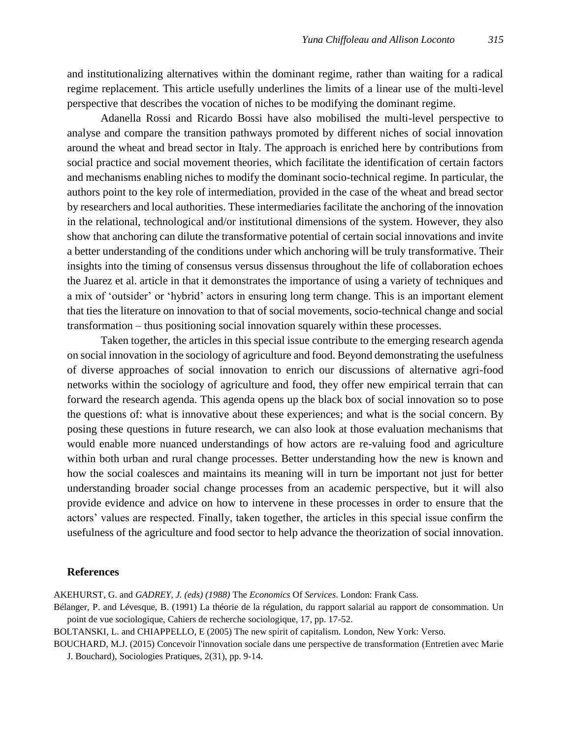and institutionalizing alternatives within the dominant regime, rather than waiting for a radical regime replacement. This article usefully underlines the limits of a linear use of the multi-level perspective that describes the vocation of niches to be modifying the dominant regime.

Adanella Rossi and Ricardo Bossi have also mobilised the multi-level perspective to analyse and compare the transition pathways promoted by different niches of social innovation around the wheat and bread sector in Italy. The approach is enriched here by contributions from social practice and social movement theories, which facilitate the identification of certain factors and mechanisms enabling niches to modify the dominant socio-technical regime. In particular, the authors point to the key role of intermediation, provided in the case of the wheat and bread sector by researchers and local authorities. These intermediaries facilitate the anchoring of the innovation in the relational, technological and/or institutional dimensions of the system. However, they also show that anchoring can dilute the transformative potential of certain social innovations and invite a better understanding of the conditions under which anchoring will be truly transformative. Their insights into the timing of consensus versus dissensus throughout the life of collaboration echoes the Juarez et al. article in that it demonstrates the importance of using a variety of techniques and a mix of 'outsider' or 'hybrid' actors in ensuring long term change. This is an important element that ties the literature on innovation to that of social movements, socio-technical change and social transformation – thus positioning social innovation squarely within these processes.

Taken together, the articles in this special issue contribute to the emerging research agenda on social innovation in the sociology of agriculture and food. Beyond demonstrating the usefulness of diverse approaches of social innovation to enrich our discussions of alternative agri-food networks within the sociology of agriculture and food, they offer new empirical terrain that can forward the research agenda. This agenda opens up the black box of social innovation so to pose the questions of: what is innovative about these experiences; and what is the social concern. By posing these questions in future research, we can also look at those evaluation mechanisms that would enable more nuanced understandings of how actors are re-valuing food and agriculture within both urban and rural change processes. Better understanding how the new is known and how the social coalesces and maintains its meaning will in turn be important not just for better understanding broader social change processes from an academic perspective, but it will also provide evidence and advice on how to intervene in these processes in order to ensure that the actors' values are respected. Finally, taken together, the articles in this special issue confirm the usefulness of the agriculture and food sector to help advance the theorization of social innovation.

#### **References**

AKEHURST, G. and *GADREY, J. (eds) (1988)* The *Economics* Of *Services*. London: Frank Cass.

Bélanger, P. and Lévesque, B. (1991) La théorie de la régulation, du rapport salarial au rapport de consommation. Un point de vue sociologique, Cahiers de recherche sociologique, 17, pp. 17-52.

BOLTANSKI, L. and CHIAPPELLO, E (2005) The new spirit of capitalism. London, New York: Verso.

BOUCHARD, M.J. (2015) [Concevoir l'innovation sociale dans une perspective de transformation](https://www.cairn.info/revue-sociologies-pratiques-2015-2-page-9.htm) (Entretien avec Marie J. Bouchard), Sociologies Pratiques, 2(31), pp. 9-14.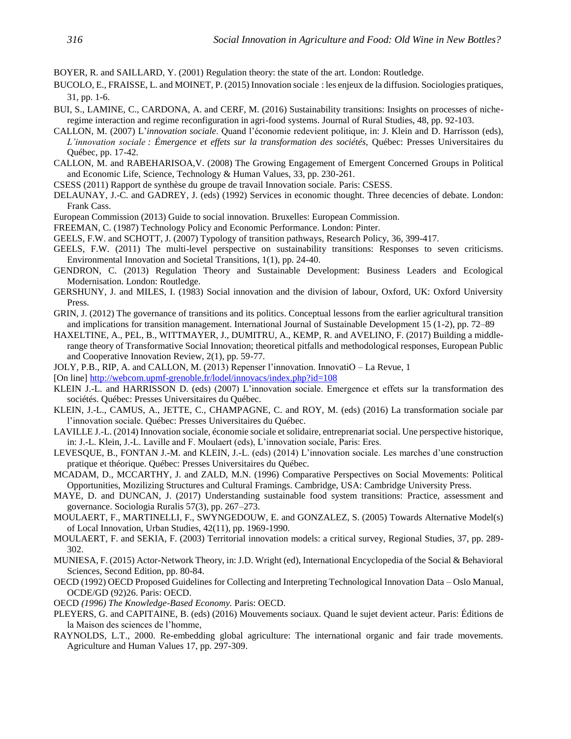BOYER, R. and SAILLARD, Y. (2001) Regulation theory: the state of the art. London: Routledge.

- BUCOLO, E., FRAISSE, L. and MOINET, P. (2015) Innovation sociale : les enjeux de la diffusion. Sociologies pratiques, 31, pp. 1-6.
- BUI, S., LAMINE, C., CARDONA, A. and CERF, M. (2016) Sustainability transitions: Insights on processes of nicheregime interaction and regime reconfiguration in agri-food systems. Journal of Rural Studies, 48, pp. 92-103.
- CALLON, M. (2007) L'*innovation sociale*. Quand l'économie redevient politique, in: J. Klein and D. Harrisson (eds), *L'innovation sociale : Émergence et effets sur la transformation des sociétés,* Québec: Presses Universitaires du Québec, pp. 17-42.
- CALLON, M. and RABEHARISOA,V. (2008) The Growing Engagement of Emergent Concerned Groups in Political and Economic Life, Science, Technology & Human Values, 33, pp. 230-261.
- CSESS (2011) Rapport de synthèse du groupe de travail Innovation sociale. Paris: CSESS.
- DELAUNAY, J.-C. and GADREY, J. (eds) (1992) Services in economic thought. Three decencies of debate. London: Frank Cass.
- European Commission (2013) Guide to social innovation. Bruxelles: European Commission.
- FREEMAN, C. (1987) Technology Policy and Economic Performance. London: Pinter.
- GEELS, F.W. and SCHOTT, J. (2007) Typology of transition pathways, Research Policy, 36, 399-417.
- GEELS, F.W. (2011) The multi-level perspective on sustainability transitions: Responses to seven criticisms. Environmental Innovation and Societal Transitions, 1(1), pp. 24-40.
- GENDRON, C. (2013) Regulation Theory and Sustainable Development: Business Leaders and Ecological Modernisation. London: Routledge.
- GERSHUNY, J. and MILES, I. (1983) Social innovation and the division of labour, Oxford, UK: Oxford University Press.
- GRIN, J. (2012) The governance of transitions and its politics. Conceptual lessons from the earlier agricultural transition and implications for transition management. International Journal of Sustainable Development 15 (1-2), pp. 72–89
- HAXELTINE, A., PEL, B., WITTMAYER, J., DUMITRU, A., KEMP, R. and AVELINO, F. (2017) Building a middlerange theory of Transformative Social Innovation; theoretical pitfalls and methodological responses, European Public and Cooperative Innovation Review, 2(1), pp. 59-77.
- JOLY, P.B., RIP, A. and CALLON, M. (2013) Repenser l'innovation. InnovatiO La Revue, 1
- [On line]<http://webcom.upmf-grenoble.fr/lodel/innovacs/index.php?id=108>
- KLEIN J.-L. and HARRISSON D. (eds) (2007) L'innovation sociale. Emergence et effets sur la transformation des sociétés. Québec: Presses Universitaires du Québec.
- KLEIN, J.-L., CAMUS, A., JETTE, C., CHAMPAGNE, C. and ROY, M. (eds) (2016) La transformation sociale par l'innovation sociale. Québec: Presses Universitaires du Québec.
- LAVILLE J.-L. (2014) Innovation sociale, économie sociale et solidaire, entreprenariat social. Une perspective historique, in: J.-L. Klein, J.-L. Laville and F. Moulaert (eds), L'innovation sociale, Paris: Eres.
- LEVESQUE, B., FONTAN J.-M. and KLEIN, J.-L. (eds) (2014) L'innovation sociale. Les marches d'une construction pratique et théorique. Québec: Presses Universitaires du Québec.
- MCADAM, D., MCCARTHY, J. and ZALD, M.N. (1996) Comparative Perspectives on Social Movements: Political Opportunities, Mozilizing Structures and Cultural Framings. Cambridge, USA: Cambridge University Press.
- MAYE, D. and DUNCAN, J. (2017) Understanding sustainable food system transitions: Practice, assessment and governance. Sociologia Ruralis 57(3), pp. 267–273.
- MOULAERT, F., MARTINELLI, F., SWYNGEDOUW, E. and GONZALEZ, S. (2005) Towards Alternative Model(s) of Local Innovation, Urban Studies, 42(11), pp. 1969-1990.
- MOULAERT, F. and SEKIA, F. (2003) Territorial innovation models: a critical survey, Regional Studies, 37, pp. 289- 302.
- MUNIESA, F. (2015) Actor-Network Theory, in: J.D. Wright (ed), International Encyclopedia of the Social & Behavioral Sciences, Second Edition, pp. 80-84.
- OECD (1992) OECD Proposed Guidelines for Collecting and Interpreting Technological Innovation Data Oslo Manual, OCDE/GD (92)26. Paris: OECD.
- OECD *(1996) The Knowledge-Based Economy.* Paris: OECD.
- PLEYERS, G. and CAPITAINE, B. (eds) (2016) Mouvements sociaux. Quand le sujet devient acteur. Paris: Éditions de la Maison des sciences de l'homme,
- RAYNOLDS, L.T., 2000. Re-embedding global agriculture: The international organic and fair trade movements. Agriculture and Human Values 17, pp. 297-309.